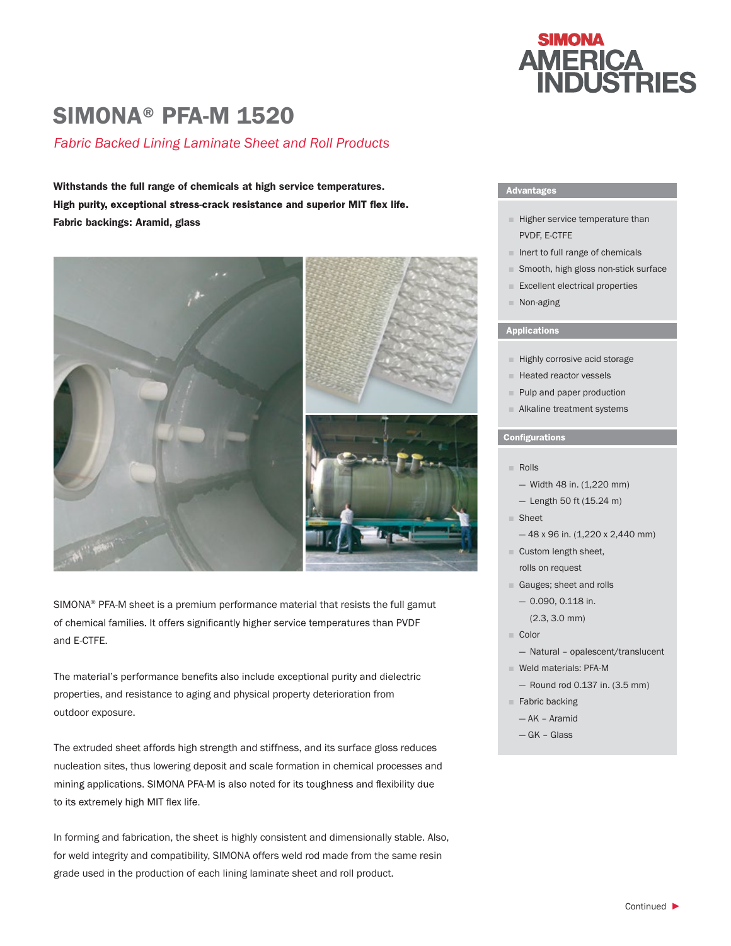# SIMONA® PFA-M 1520

## *Fabric Backed Lining Laminate Sheet and Roll Products*

Withstands the full range of chemicals at high service temperatures. High purity, exceptional stress-crack resistance and superior MIT flex life. Fabric backings: Aramid, glass



SIMONA® PFA-M sheet is a premium performance material that resists the full gamut of chemical families. It offers significantly higher service temperatures than PVDF and E-CTFE.

The material's performance benefits also include exceptional purity and dielectric properties, and resistance to aging and physical property deterioration from outdoor exposure.

The extruded sheet affords high strength and stiffness, and its surface gloss reduces nucleation sites, thus lowering deposit and scale formation in chemical processes and mining applications. SIMONA PFA-M is also noted for its toughness and flexibility due to its extremely high MIT flex life.

In forming and fabrication, the sheet is highly consistent and dimensionally stable. Also, for weld integrity and compatibility, SIMONA offers weld rod made from the same resin grade used in the production of each lining laminate sheet and roll product.



### Advantages

- Higher service temperature than PVDF, E-CTFE
- Inert to full range of chemicals
- Smooth, high gloss non-stick surface
- Excellent electrical properties
- Non-aging

#### Applications

- Highly corrosive acid storage
- Heated reactor vessels
- Pulp and paper production
- Alkaline treatment systems

#### **Configurations**

- Rolls
	- Width 48 in. (1,220 mm)
	- Length 50 ft (15.24 m)
- Sheet
	- $-48$  x 96 in. (1,220 x 2,440 mm)
- Custom length sheet, rolls on request
- Gauges; sheet and rolls
	- 0.090, 0.118 in.

(2.3, 3.0 mm)

- Color
	- Natural opalescent/translucent
- Weld materials: PFA-M
	- Round rod 0.137 in. (3.5 mm)
- Fabric backing
	- AK Aramid
	- GK Glass